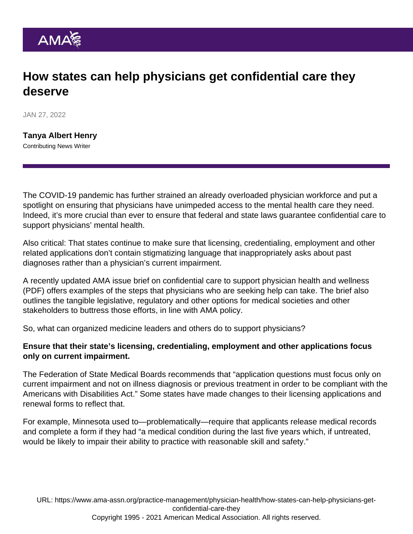## How states can help physicians get confidential care they deserve

JAN 27, 2022

[Tanya Albert Henry](https://www.ama-assn.org/news-leadership-viewpoints/authors-news-leadership-viewpoints/tanya-albert-henry) Contributing News Writer

The COVID-19 pandemic has further strained an already overloaded physician workforce and put a spotlight on ensuring that physicians have unimpeded access to the mental health care they need. Indeed, it's more crucial than ever to ensure that federal and state laws guarantee confidential care to support physicians' mental health.

Also critical: That states continue to make sure that licensing, credentialing, employment and other related applications don't contain stigmatizing language that inappropriately asks about past diagnoses rather than a physician's current impairment.

A recently updated AMA issue brief on [confidential care to support physician health and wellness](https://www.ama-assn.org/system/files/issue-brief-physician-health-wellness.pdf) (PDF) offers examples of the steps that physicians who are seeking help can take. The brief also outlines the tangible legislative, regulatory and other options for medical societies and other stakeholders to buttress those efforts, in line with [AMA policy.](https://www.ama-assn.org/press-center/press-releases/ama-adopts-policy-improve-physician-access-mental-health-care-0)

So, what can organized medicine leaders and others do to support physicians?

Ensure that their state's licensing, credentialing, employment and other applications focus only on current impairment.

The Federation of State Medical Boards recommends that "application questions must focus only on current impairment and not on illness diagnosis or previous treatment in order to be compliant with the Americans with Disabilities Act." Some states have made changes to their licensing applications and renewal forms to reflect that.

For example, Minnesota used to—problematically—require that applicants release medical records and complete a form if they had "a medical condition during the last five years which, if untreated, would be likely to impair their ability to practice with reasonable skill and safety."

URL: [https://www.ama-assn.org/practice-management/physician-health/how-states-can-help-physicians-get](https://www.ama-assn.org/practice-management/physician-health/how-states-can-help-physicians-get-confidential-care-they)[confidential-care-they](https://www.ama-assn.org/practice-management/physician-health/how-states-can-help-physicians-get-confidential-care-they) Copyright 1995 - 2021 American Medical Association. All rights reserved.